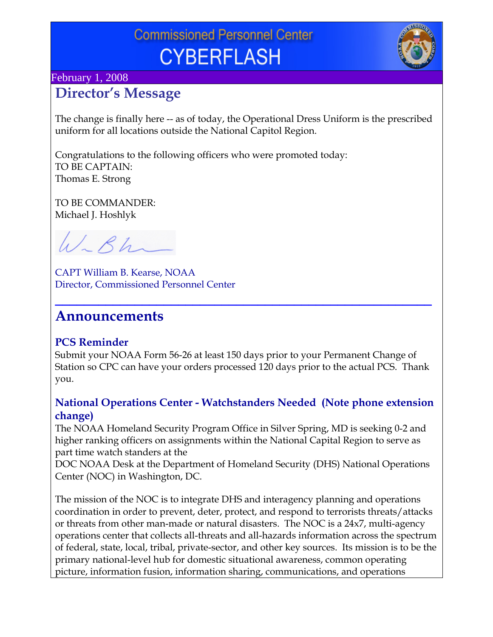# **Commissioned Personnel Center CYBERFLASH**



#### February 1, 2008

### **Director's Message**

The change is finally here -- as of today, the Operational Dress Uniform is the prescribed uniform for all locations outside the National Capitol Region.

Congratulations to the following officers who were promoted today: TO BE CAPTAIN: Thomas E. Strong

TO BE COMMANDER: Michael J. Hoshlyk

W.Bh

CAPT William B. Kearse, NOAA Director, Commissioned Personnel Center

### **Announcements**

#### **PCS Reminder**

Submit your NOAA Form 56-26 at least 150 days prior to your Permanent Change of Station so CPC can have your orders processed 120 days prior to the actual PCS. Thank you.

**\_\_\_\_\_\_\_\_\_\_\_\_\_\_\_\_\_\_\_\_\_\_\_\_\_\_\_\_\_\_\_\_\_\_\_\_\_\_\_\_\_\_\_\_\_\_\_\_\_\_\_\_**

#### **National Operations Center - Watchstanders Needed (Note phone extension change)**

The NOAA Homeland Security Program Office in Silver Spring, MD is seeking 0-2 and higher ranking officers on assignments within the National Capital Region to serve as part time watch standers at the

DOC NOAA Desk at the Department of Homeland Security (DHS) National Operations Center (NOC) in Washington, DC.

The mission of the NOC is to integrate DHS and interagency planning and operations coordination in order to prevent, deter, protect, and respond to terrorists threats/attacks or threats from other man-made or natural disasters. The NOC is a 24x7, multi-agency operations center that collects all-threats and all-hazards information across the spectrum of federal, state, local, tribal, private-sector, and other key sources. Its mission is to be the primary national-level hub for domestic situational awareness, common operating picture, information fusion, information sharing, communications, and operations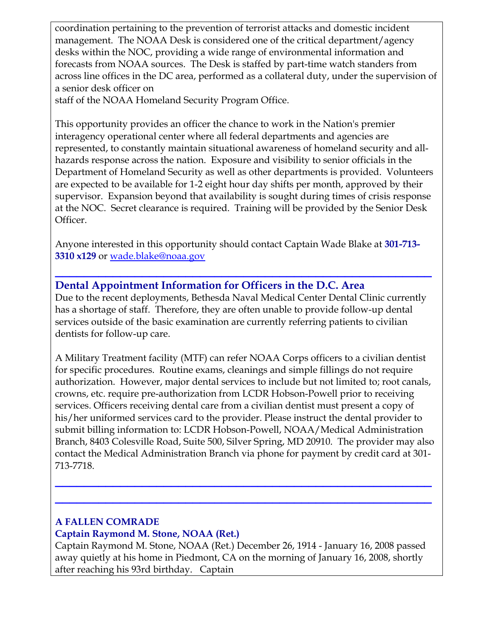coordination pertaining to the prevention of terrorist attacks and domestic incident management. The NOAA Desk is considered one of the critical department/agency desks within the NOC, providing a wide range of environmental information and forecasts from NOAA sources. The Desk is staffed by part-time watch standers from across line offices in the DC area, performed as a collateral duty, under the supervision of a senior desk officer on

staff of the NOAA Homeland Security Program Office.

This opportunity provides an officer the chance to work in the Nation's premier interagency operational center where all federal departments and agencies are represented, to constantly maintain situational awareness of homeland security and allhazards response across the nation. Exposure and visibility to senior officials in the Department of Homeland Security as well as other departments is provided. Volunteers are expected to be available for 1-2 eight hour day shifts per month, approved by their supervisor. Expansion beyond that availability is sought during times of crisis response at the NOC. Secret clearance is required. Training will be provided by the Senior Desk Officer.

Anyone interested in this opportunity should contact Captain Wade Blake at **301-713- 3310 x129** or [wade.blake@noaa.gov](mailto:wade.blake@noaa.gov) 

**\_\_\_\_\_\_\_\_\_\_\_\_\_\_\_\_\_\_\_\_\_\_\_\_\_\_\_\_\_\_\_\_\_\_\_\_\_\_\_\_\_\_\_\_\_\_\_\_\_\_\_\_** 

#### **Dental Appointment Information for Officers in the D.C. Area**

Due to the recent deployments, Bethesda Naval Medical Center Dental Clinic currently has a shortage of staff. Therefore, they are often unable to provide follow-up dental services outside of the basic examination are currently referring patients to civilian dentists for follow-up care.

A Military Treatment facility (MTF) can refer NOAA Corps officers to a civilian dentist for specific procedures. Routine exams, cleanings and simple fillings do not require authorization. However, major dental services to include but not limited to; root canals, crowns, etc. require pre-authorization from LCDR Hobson-Powell prior to receiving services. Officers receiving dental care from a civilian dentist must present a copy of his/her uniformed services card to the provider. Please instruct the dental provider to submit billing information to: LCDR Hobson-Powell, NOAA/Medical Administration Branch, 8403 Colesville Road, Suite 500, Silver Spring, MD 20910. The provider may also contact the Medical Administration Branch via phone for payment by credit card at 301- 713-7718.

**\_\_\_\_\_\_\_\_\_\_\_\_\_\_\_\_\_\_\_\_\_\_\_\_\_\_\_\_\_\_\_\_\_\_\_\_\_\_\_\_\_\_\_\_\_\_\_\_\_\_\_\_**

**\_\_\_\_\_\_\_\_\_\_\_\_\_\_\_\_\_\_\_\_\_\_\_\_\_\_\_\_\_\_\_\_\_\_\_\_\_\_\_\_\_\_\_\_\_\_\_\_\_\_\_\_** 

### **A FALLEN COMRADE**

#### **Captain Raymond M. Stone, NOAA (Ret.)**

Captain Raymond M. Stone, NOAA (Ret.) December 26, 1914 - January 16, 2008 passed away quietly at his home in Piedmont, CA on the morning of January 16, 2008, shortly after reaching his 93rd birthday. Captain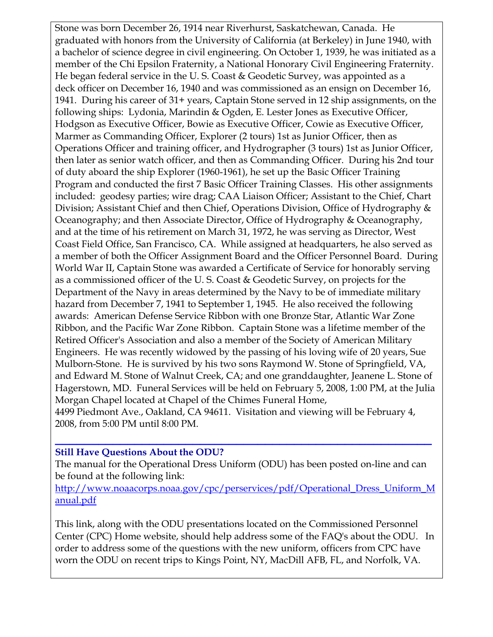Stone was born December 26, 1914 near Riverhurst, Saskatchewan, Canada. He graduated with honors from the University of California (at Berkeley) in June 1940, with a bachelor of science degree in civil engineering. On October 1, 1939, he was initiated as a member of the Chi Epsilon Fraternity, a National Honorary Civil Engineering Fraternity. He began federal service in the U. S. Coast & Geodetic Survey, was appointed as a deck officer on December 16, 1940 and was commissioned as an ensign on December 16, 1941. During his career of 31+ years, Captain Stone served in 12 ship assignments, on the following ships: Lydonia, Marindin & Ogden, E. Lester Jones as Executive Officer, Hodgson as Executive Officer, Bowie as Executive Officer, Cowie as Executive Officer, Marmer as Commanding Officer, Explorer (2 tours) 1st as Junior Officer, then as Operations Officer and training officer, and Hydrographer (3 tours) 1st as Junior Officer, then later as senior watch officer, and then as Commanding Officer. During his 2nd tour of duty aboard the ship Explorer (1960-1961), he set up the Basic Officer Training Program and conducted the first 7 Basic Officer Training Classes. His other assignments included: geodesy parties; wire drag; CAA Liaison Officer; Assistant to the Chief, Chart Division; Assistant Chief and then Chief, Operations Division, Office of Hydrography & Oceanography; and then Associate Director, Office of Hydrography & Oceanography, and at the time of his retirement on March 31, 1972, he was serving as Director, West Coast Field Office, San Francisco, CA. While assigned at headquarters, he also served as a member of both the Officer Assignment Board and the Officer Personnel Board. During World War II, Captain Stone was awarded a Certificate of Service for honorably serving as a commissioned officer of the U. S. Coast & Geodetic Survey, on projects for the Department of the Navy in areas determined by the Navy to be of immediate military hazard from December 7, 1941 to September 1, 1945. He also received the following awards: American Defense Service Ribbon with one Bronze Star, Atlantic War Zone Ribbon, and the Pacific War Zone Ribbon. Captain Stone was a lifetime member of the Retired Officer's Association and also a member of the Society of American Military Engineers. He was recently widowed by the passing of his loving wife of 20 years, Sue Mulborn-Stone. He is survived by his two sons Raymond W. Stone of Springfield, VA, and Edward M. Stone of Walnut Creek, CA; and one granddaughter, Jeanene L. Stone of Hagerstown, MD. Funeral Services will be held on February 5, 2008, 1:00 PM, at the Julia Morgan Chapel located at Chapel of the Chimes Funeral Home, 4499 Piedmont Ave., Oakland, CA 94611. Visitation and viewing will be February 4,

2008, from 5:00 PM until 8:00 PM.

#### **\_\_\_\_\_\_\_\_\_\_\_\_\_\_\_\_\_\_\_\_\_\_\_\_\_\_\_\_\_\_\_\_\_\_\_\_\_\_\_\_\_\_\_\_\_\_\_\_\_\_\_\_ Still Have Questions About the ODU?**

The manual for the Operational Dress Uniform (ODU) has been posted on-line and can be found at the following link:

[http://www.noaacorps.noaa.gov/cpc/perservices/pdf/Operational\\_Dress\\_Uniform\\_M](http://www.noaacorps.noaa.gov/cpc/perservices/pdf/Operational_Dress_Uniform_Manual.pdf) [anual.pdf](http://www.noaacorps.noaa.gov/cpc/perservices/pdf/Operational_Dress_Uniform_Manual.pdf) 

This link, along with the ODU presentations located on the Commissioned Personnel Center (CPC) Home website, should help address some of the FAQ's about the ODU. In order to address some of the questions with the new uniform, officers from CPC have worn the ODU on recent trips to Kings Point, NY, MacDill AFB, FL, and Norfolk, VA.